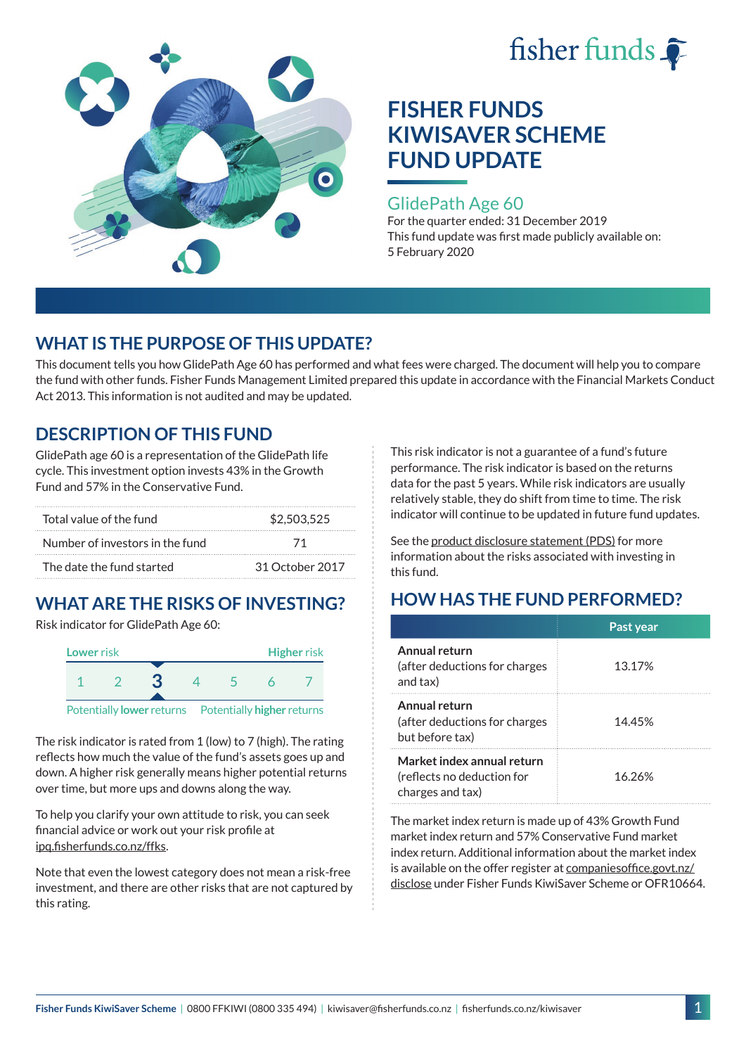



#### GlidePath Age 60

For the quarter ended: 31 December 2019 This fund update was first made publicly available on: 5 February 2020

## **WHAT IS THE PURPOSE OF THIS UPDATE?**

This document tells you how GlidePath Age 60 has performed and what fees were charged. The document will help you to compare the fund with other funds. Fisher Funds Management Limited prepared this update in accordance with the Financial Markets Conduct Act 2013. This information is not audited and may be updated.

## **DESCRIPTION OF THIS FUND**

GlidePath age 60 is a representation of the GlidePath life cycle. This investment option invests 43% in the Growth Fund and 57% in the Conservative Fund.

| Total value of the fund         | \$2,503,525     |  |
|---------------------------------|-----------------|--|
| Number of investors in the fund | 71              |  |
| The date the fund started       | 31 October 2017 |  |

# **WHAT ARE THE RISKS OF INVESTING?**

Risk indicator for GlidePath Age 60:



Potentially **lower** returns Potentially **higher** returns

The risk indicator is rated from 1 (low) to 7 (high). The rating reflects how much the value of the fund's assets goes up and down. A higher risk generally means higher potential returns over time, but more ups and downs along the way.

To help you clarify your own attitude to risk, you can seek financial advice or work out your risk profile at [ipq.fisherfunds.co.nz/ffks](https://ipq.fisherfunds.co.nz/ffks).

Note that even the lowest category does not mean a risk-free investment, and there are other risks that are not captured by this rating.

This risk indicator is not a guarantee of a fund's future performance. The risk indicator is based on the returns data for the past 5 years. While risk indicators are usually relatively stable, they do shift from time to time. The risk indicator will continue to be updated in future fund updates.

See the [product disclosure statement \(PDS\)](https://fisherfunds.co.nz/assets/PDS/Fisher-Funds-KiwiSaver-Scheme-PDS.pdf) for more information about the risks associated with investing in this fund.

# **HOW HAS THE FUND PERFORMED?**

|                                                                              | Past year |
|------------------------------------------------------------------------------|-----------|
| Annual return<br>(after deductions for charges<br>and tax)                   | 13.17%    |
| Annual return<br>(after deductions for charges<br>but before tax)            | 14.45%    |
| Market index annual return<br>(reflects no deduction for<br>charges and tax) | 16.26%    |

The market index return is made up of 43% Growth Fund market index return and 57% Conservative Fund market index return. Additional information about the market index is available on the offer register at [companiesoffice.govt.nz/](http://companiesoffice.govt.nz/disclose) [disclose](http://companiesoffice.govt.nz/disclose) under Fisher Funds KiwiSaver Scheme or OFR10664.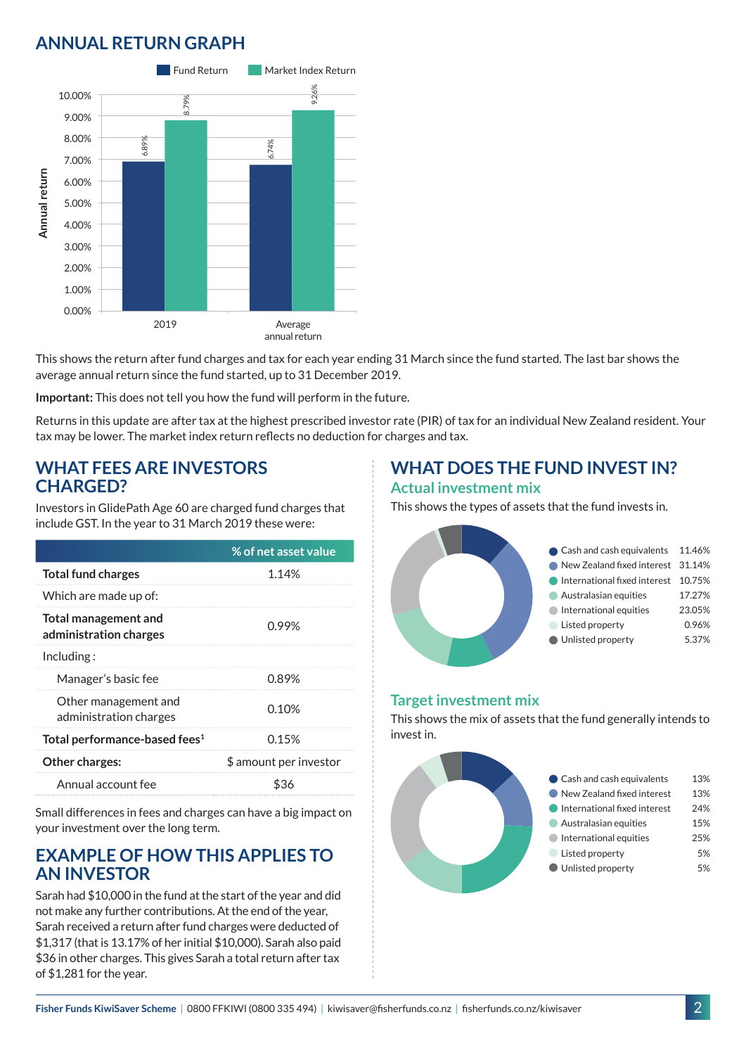## **ANNUAL RETURN GRAPH**



This shows the return after fund charges and tax for each year ending 31 March since the fund started. The last bar shows the average annual return since the fund started, up to 31 December 2019.

**Important:** This does not tell you how the fund will perform in the future.

Returns in this update are after tax at the highest prescribed investor rate (PIR) of tax for an individual New Zealand resident. Your tax may be lower. The market index return reflects no deduction for charges and tax.

#### **WHAT FEES ARE INVESTORS CHARGED?**

Investors in GlidePath Age 60 are charged fund charges that include GST. In the year to 31 March 2019 these were:

|                                                       | % of net asset value   |
|-------------------------------------------------------|------------------------|
| <b>Total fund charges</b>                             | 1.14%                  |
| Which are made up of:                                 |                        |
| <b>Total management and</b><br>administration charges | 0.99%                  |
| Including:                                            |                        |
| Manager's basic fee                                   | 0.89%                  |
| Other management and<br>administration charges        | 0.10%                  |
| Total performance-based fees <sup>1</sup>             | 0.15%                  |
| <b>Other charges:</b>                                 | \$ amount per investor |
| Annual account fee                                    | ፍ36                    |

Small differences in fees and charges can have a big impact on your investment over the long term.

#### **EXAMPLE OF HOW THIS APPLIES TO AN INVESTOR**

Sarah had \$10,000 in the fund at the start of the year and did not make any further contributions. At the end of the year, Sarah received a return after fund charges were deducted of \$1,317 (that is 13.17% of her initial \$10,000). Sarah also paid \$36 in other charges. This gives Sarah a total return after tax of \$1,281 for the year.

## **WHAT DOES THE FUND INVEST IN? Actual investment mix**

This shows the types of assets that the fund invests in.



#### **Target investment mix**

This shows the mix of assets that the fund generally intends to invest in.